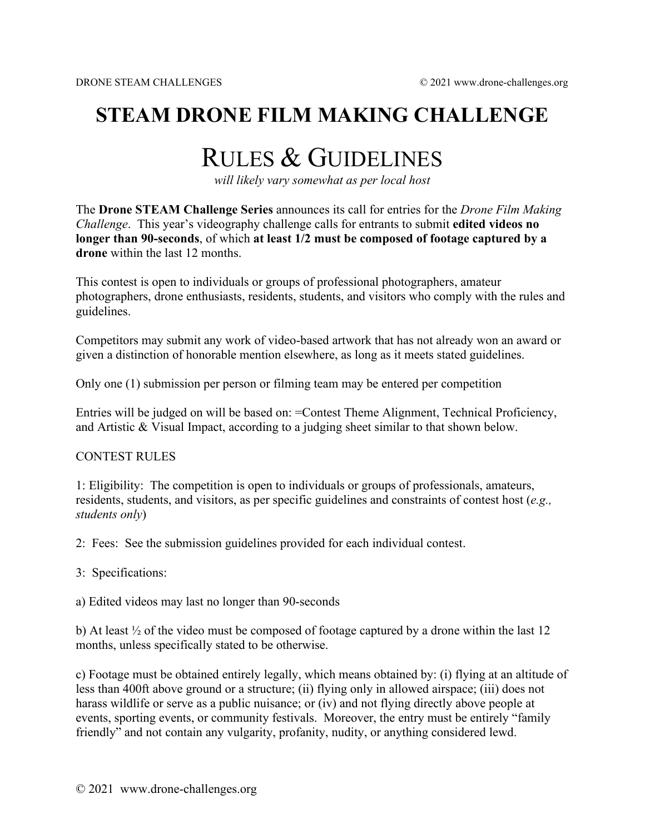## **STEAM DRONE FILM MAKING CHALLENGE**

# RULES & GUIDELINES

*will likely vary somewhat as per local host*

The **Drone STEAM Challenge Series** announces its call for entries for the *Drone Film Making Challenge*. This year's videography challenge calls for entrants to submit **edited videos no longer than 90-seconds**, of which **at least 1/2 must be composed of footage captured by a drone** within the last 12 months.

This contest is open to individuals or groups of professional photographers, amateur photographers, drone enthusiasts, residents, students, and visitors who comply with the rules and guidelines.

Competitors may submit any work of video-based artwork that has not already won an award or given a distinction of honorable mention elsewhere, as long as it meets stated guidelines.

Only one (1) submission per person or filming team may be entered per competition

Entries will be judged on will be based on: =Contest Theme Alignment, Technical Proficiency, and Artistic & Visual Impact, according to a judging sheet similar to that shown below.

#### CONTEST RULES

1: Eligibility: The competition is open to individuals or groups of professionals, amateurs, residents, students, and visitors, as per specific guidelines and constraints of contest host (*e.g., students only*)

2: Fees: See the submission guidelines provided for each individual contest.

3: Specifications:

a) Edited videos may last no longer than 90-seconds

b) At least ½ of the video must be composed of footage captured by a drone within the last 12 months, unless specifically stated to be otherwise.

c) Footage must be obtained entirely legally, which means obtained by: (i) flying at an altitude of less than 400ft above ground or a structure; (ii) flying only in allowed airspace; (iii) does not harass wildlife or serve as a public nuisance; or (iv) and not flying directly above people at events, sporting events, or community festivals. Moreover, the entry must be entirely "family friendly" and not contain any vulgarity, profanity, nudity, or anything considered lewd.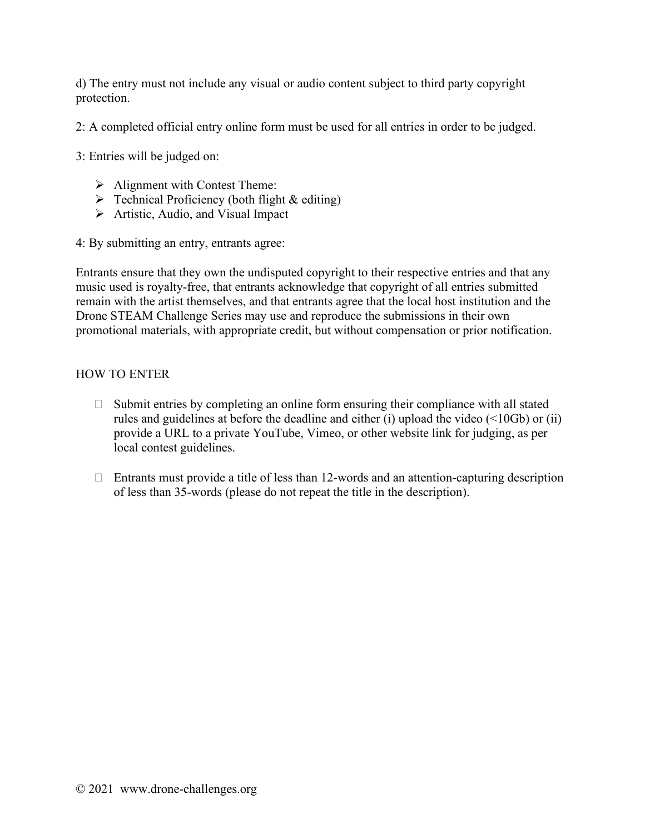d) The entry must not include any visual or audio content subject to third party copyright protection.

2: A completed official entry online form must be used for all entries in order to be judged.

3: Entries will be judged on:

- $\triangleright$  Alignment with Contest Theme:
- $\triangleright$  Technical Proficiency (both flight & editing)
- $\triangleright$  Artistic, Audio, and Visual Impact

4: By submitting an entry, entrants agree:

Entrants ensure that they own the undisputed copyright to their respective entries and that any music used is royalty-free, that entrants acknowledge that copyright of all entries submitted remain with the artist themselves, and that entrants agree that the local host institution and the Drone STEAM Challenge Series may use and reproduce the submissions in their own promotional materials, with appropriate credit, but without compensation or prior notification.

### HOW TO ENTER

- $\Box$  Submit entries by completing an online form ensuring their compliance with all stated rules and guidelines at before the deadline and either (i) upload the video (<10Gb) or (ii) provide a URL to a private YouTube, Vimeo, or other website link for judging, as per local contest guidelines.
- $\Box$  Entrants must provide a title of less than 12-words and an attention-capturing description of less than 35-words (please do not repeat the title in the description).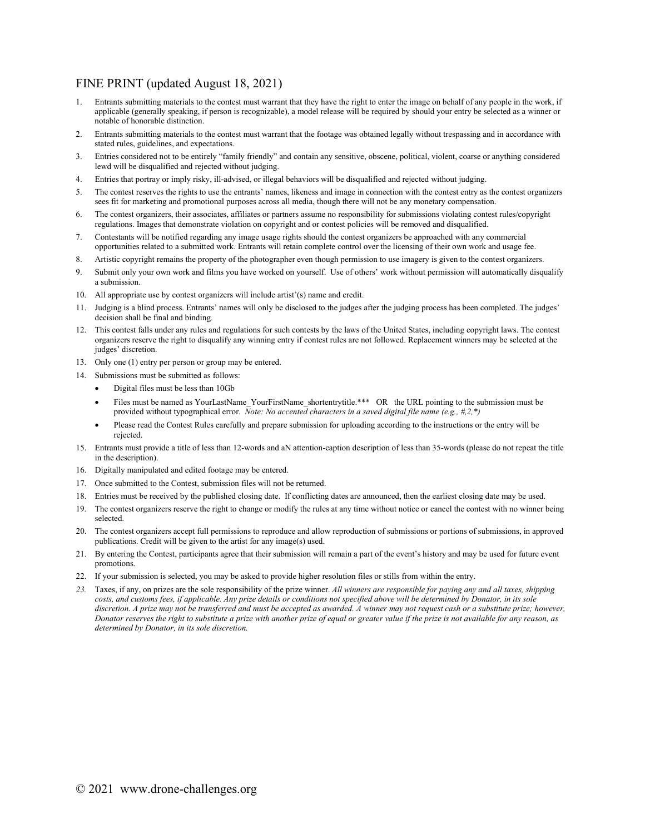#### FINE PRINT (updated August 18, 2021)

- 1. Entrants submitting materials to the contest must warrant that they have the right to enter the image on behalf of any people in the work, if applicable (generally speaking, if person is recognizable), a model release will be required by should your entry be selected as a winner or notable of honorable distinction.
- 2. Entrants submitting materials to the contest must warrant that the footage was obtained legally without trespassing and in accordance with stated rules, guidelines, and expectations.
- 3. Entries considered not to be entirely "family friendly" and contain any sensitive, obscene, political, violent, coarse or anything considered lewd will be disqualified and rejected without judging.
- 4. Entries that portray or imply risky, ill-advised, or illegal behaviors will be disqualified and rejected without judging.
- 5. The contest reserves the rights to use the entrants' names, likeness and image in connection with the contest entry as the contest organizers sees fit for marketing and promotional purposes across all media, though there will not be any monetary compensation.
- 6. The contest organizers, their associates, affiliates or partners assume no responsibility for submissions violating contest rules/copyright regulations. Images that demonstrate violation on copyright and or contest policies will be removed and disqualified.
- 7. Contestants will be notified regarding any image usage rights should the contest organizers be approached with any commercial opportunities related to a submitted work. Entrants will retain complete control over the licensing of their own work and usage fee.
- 8. Artistic copyright remains the property of the photographer even though permission to use imagery is given to the contest organizers.
- 9. Submit only your own work and films you have worked on yourself. Use of others' work without permission will automatically disqualify a submission.
- 10. All appropriate use by contest organizers will include artist'(s) name and credit.
- 11. Judging is a blind process. Entrants' names will only be disclosed to the judges after the judging process has been completed. The judges' decision shall be final and binding.
- 12. This contest falls under any rules and regulations for such contests by the laws of the United States, including copyright laws. The contest organizers reserve the right to disqualify any winning entry if contest rules are not followed. Replacement winners may be selected at the judges' discretion.
- 13. Only one (1) entry per person or group may be entered.
- 14. Submissions must be submitted as follows:
	- Digital files must be less than 10Gb
	- Files must be named as YourLastName\_YourFirstName\_shortentrytitle.\*\*\* OR the URL pointing to the submission must be provided without typographical error. *Note: No accented characters in a saved digital file name (e.g., #,2,\*)*
	- Please read the Contest Rules carefully and prepare submission for uploading according to the instructions or the entry will be rejected.
- 15. Entrants must provide a title of less than 12-words and aN attention-caption description of less than 35-words (please do not repeat the title in the description).
- 16. Digitally manipulated and edited footage may be entered.
- 17. Once submitted to the Contest, submission files will not be returned.
- 18. Entries must be received by the published closing date. If conflicting dates are announced, then the earliest closing date may be used.
- 19. The contest organizers reserve the right to change or modify the rules at any time without notice or cancel the contest with no winner being selected.
- 20. The contest organizers accept full permissions to reproduce and allow reproduction of submissions or portions of submissions, in approved publications. Credit will be given to the artist for any image(s) used.
- 21. By entering the Contest, participants agree that their submission will remain a part of the event's history and may be used for future event promotions.
- 22. If your submission is selected, you may be asked to provide higher resolution files or stills from within the entry.
- *23.* Taxes, if any, on prizes are the sole responsibility of the prize winner. *All winners are responsible for paying any and all taxes, shipping*  costs, and customs fees, if applicable. Any prize details or conditions not specified above will be determined by Donator, in its sole *discretion. A prize may not be transferred and must be accepted as awarded. A winner may not request cash or a substitute prize; however, Donator reserves the right to substitute a prize with another prize of equal or greater value if the prize is not available for any reason, as determined by Donator, in its sole discretion.*